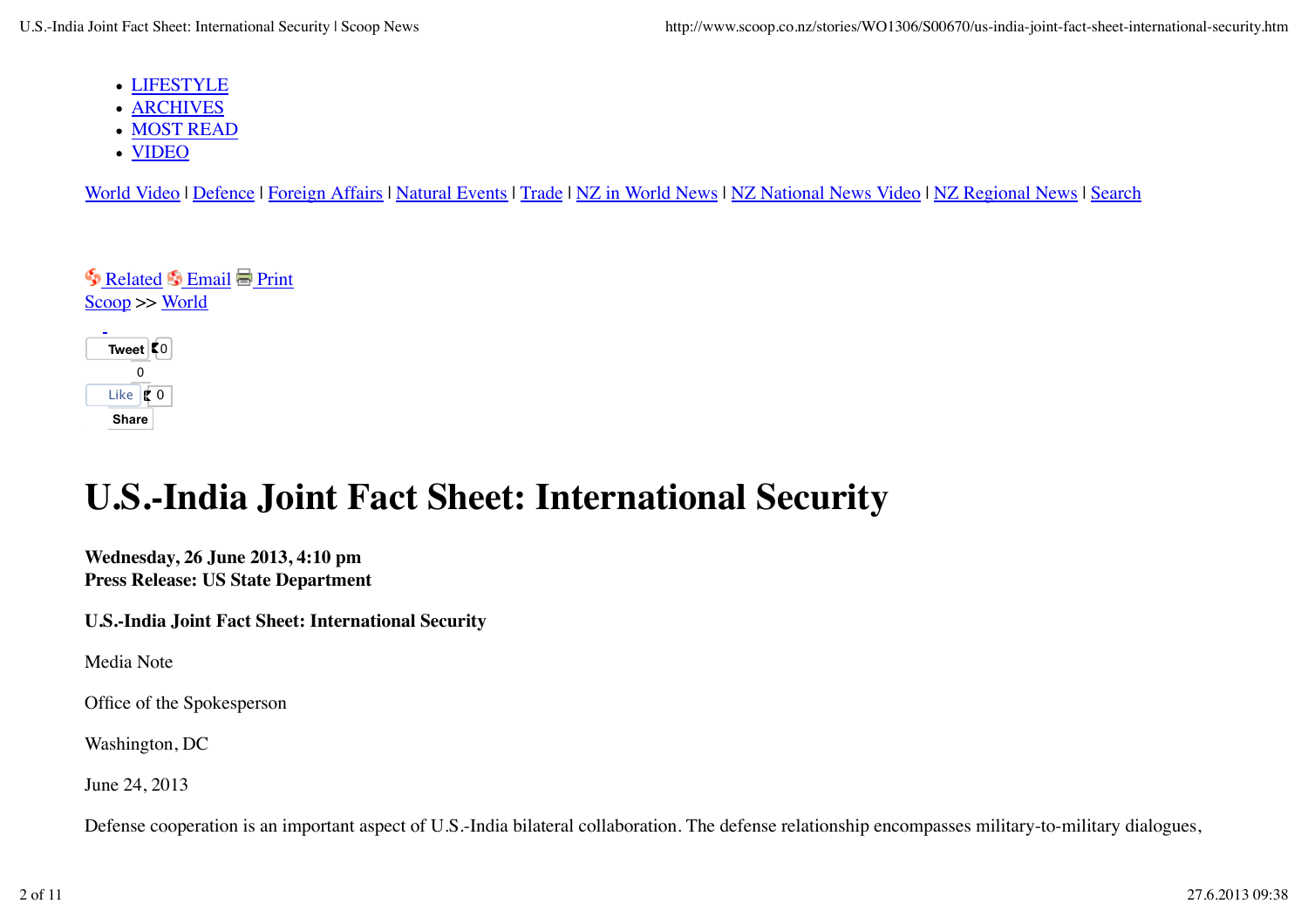- LIFESTYLE
- ARCHIVES
- MOST READ
- VIDEO

World Video | Defence | Foreign Affairs | Natural Events | Trade | NZ in World News | NZ National News Video | NZ Regional News | Search

| Related S Email Print<br>$\text{Scoop} >> \text{World}$ |
|---------------------------------------------------------|
| Tweet $\vert \zeta_0 \vert$                             |
| n                                                       |
| Like <b>to</b>                                          |

**Share Share**

## **U.S.-India Joint Fact Sheet: International Security**

**Wednesday, 26 June 2013, 4:10 pm Press Release: US State Department**

**U.S.-India Joint Fact Sheet: International Security**

Media Note

Office of the Spokesperson

Washington, DC

June 24, 2013

Defense cooperation is an important aspect of U.S.-India bilateral collaboration. The defense relationship encompasses military-to-military dialogues,